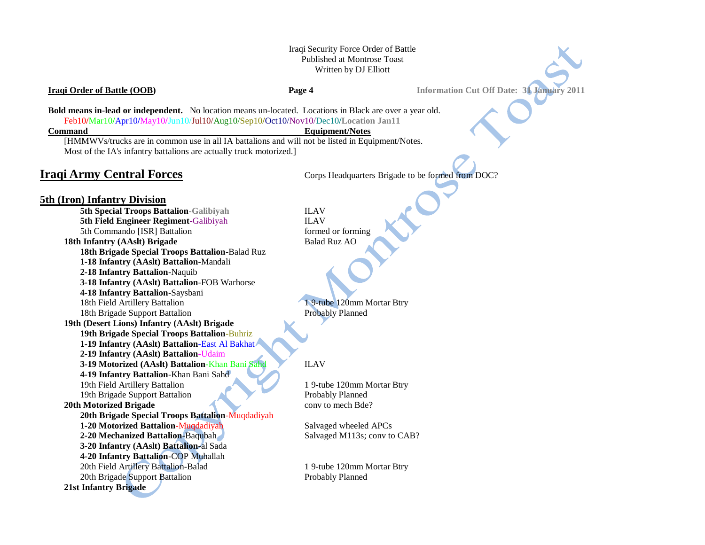## Iraqi Security Force Order of Battle Published at Montrose Toast Written by DJ Elliott

**Iraqi Order of Battle (OOB) Page 4 Information Cut Off Date: 31 January 2011**

**Bold means in-lead or independent.** No location means un-located. Locations in Black are over a year old. Feb10**/**Mar10**/**Apr10**/**May10**/**Jun10/Jul10/Aug10/Sep10**/**Oct10/Nov10/Dec10**/Location Jan11**

**Command** Equipment/Notes

[HMMWVs/trucks are in common use in all IA battalions and will not be listed in Equipment/Notes. Most of the IA's infantry battalions are actually truck motorized.]

**Iraqi Army Central Forces** Corps Headquarters Brigade to be formed from DOC?

# **5th (Iron) Infantry Division**

**5th Special Troops Battalion-Galibiyah** ILAV **5th Field Engineer Regiment-Galibiyah ILAV** 5th Commando [ISR] Battalion formed or forming **18th Infantry (AAslt) Brigade** Balad Ruz AO **18th Brigade Special Troops Battalion**-Balad Ruz **1-18 Infantry (AAslt) Battalion**-Mandali **2-18 Infantry Battalion**-Naquib **3-18 Infantry (AAslt) Battalion**-FOB Warhorse **4-18 Infantry Battalion**-Saysbani 18th Field Artillery Battalion 1 9-tube 120mm Mortar Btry 18th Brigade Support Battalion Probably Planned **19th (Desert Lions) Infantry (AAslt) Brigade 19th Brigade Special Troops Battalion**-Buhriz **1-19 Infantry (AAslt) Battalion**-East Al Bakhat **2-19 Infantry (AAslt) Battalion**-Udaim **3-19 Motorized (AAslt)** Battalion-Khan Bani Sahd ILAV **4-19 Infantry Battalion**-Khan Bani Sahd 19th Field Artillery Battalion 1 9-tube 120mm Mortar Btry 19th Brigade Support Battalion Probably Planned **20th Motorized Brigade** conv to mech Bde? **20th Brigade Special Troops Battalion**-Muqdadiyah **1-20 Motorized Battalion-Muqdadiyah Salvaged wheeled APCs 2-20 Mechanized Battalion-Baqubah Salvaged M113s; conv to CAB? 3-20 Infantry (AAslt) Battalion**-al Sada **4-20 Infantry Battalion**-COP Muhallah 20th Field Artillery Battalion-Balad 19-tube 120mm Mortar Btry 20th Brigade Support Battalion Probably Planned **21st Infantry Brigade**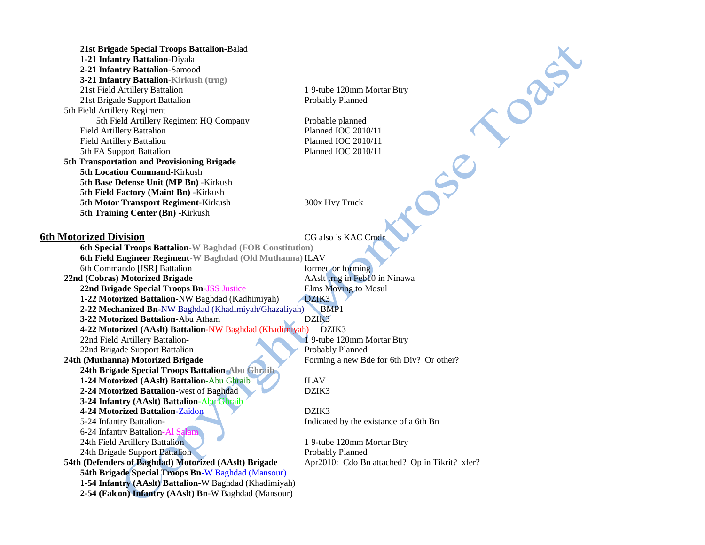| 21st Brigade Special Troops Battalion-Balad               |                                               |
|-----------------------------------------------------------|-----------------------------------------------|
| 1-21 Infantry Battalion-Diyala                            |                                               |
| 2-21 Infantry Battalion-Samood                            |                                               |
| 3-21 Infantry Battalion-Kirkush (trng)                    |                                               |
| 21st Field Artillery Battalion                            | 1 9-tube 120mm Mortar Btry                    |
| 21st Brigade Support Battalion                            | Probably Planned                              |
| 5th Field Artillery Regiment                              |                                               |
| 5th Field Artillery Regiment HQ Company                   | Probable planned                              |
| <b>Field Artillery Battalion</b>                          | Planned IOC 2010/11                           |
| <b>Field Artillery Battalion</b>                          | Planned IOC 2010/11                           |
| 5th FA Support Battalion                                  | Planned IOC 2010/11                           |
| 5th Transportation and Provisioning Brigade               |                                               |
| 5th Location Command-Kirkush                              |                                               |
| 5th Base Defense Unit (MP Bn) -Kirkush                    |                                               |
| 5th Field Factory (Maint Bn) - Kirkush                    |                                               |
| 5th Motor Transport Regiment-Kirkush                      | 300x Hvy Truck                                |
| 5th Training Center (Bn) - Kirkush                        |                                               |
|                                                           |                                               |
| <b>6th Motorized Division</b>                             | CG also is KAC Cmdr                           |
| 6th Special Troops Battalion-W Baghdad (FOB Constitution) |                                               |
| 6th Field Engineer Regiment-W Baghdad (Old Muthanna) ILAV |                                               |
| 6th Commando [ISR] Battalion                              | formed or forming                             |
| 22nd (Cobras) Motorized Brigade                           | AAslt trng in Feb10 in Ninawa                 |
| 22nd Brigade Special Troops Bn-JSS Justice                | <b>Elms Moving to Mosul</b>                   |
| 1-22 Motorized Battalion-NW Baghdad (Kadhimiyah)          | DZIK3                                         |
| 2-22 Mechanized Bn-NW Baghdad (Khadimiyah/Ghazaliyah)     | BMP1                                          |
| 3-22 Motorized Battalion-Abu Atham                        | DZIK3                                         |
| 4-22 Motorized (AAslt) Battalion-NW Baghdad (Khadimiyah)  | DZIK3                                         |
| 22nd Field Artillery Battalion-                           | 19-tube 120mm Mortar Btry                     |
| 22nd Brigade Support Battalion                            | Probably Planned                              |
| 24th (Muthanna) Motorized Brigade                         | Forming a new Bde for 6th Div? Or other?      |
| 24th Brigade Special Troops Battalion Abu Ghraib          |                                               |
| 1-24 Motorized (AAslt) Battalion-Abu Ghraib               | <b>ILAV</b>                                   |
| 2-24 Motorized Battalion-west of Baghdad                  | DZIK3                                         |
| 3-24 Infantry (AAslt) Battalion-Abu Ghraib                |                                               |
| 4-24 Motorized Battalion-Zaidon                           | DZIK3                                         |
| 5-24 Infantry Battalion-                                  | Indicated by the existance of a 6th Bn        |
| 6-24 Infantry Battalion-Al Salam                          |                                               |
| 24th Field Artillery Battalion                            | 1 9-tube 120mm Mortar Btry                    |
| 24th Brigade Support Battalion                            | Probably Planned                              |
| 54th (Defenders of Baghdad) Motorized (AAslt) Brigade     | Apr2010: Cdo Bn attached? Op in Tikrit? xfer? |
| <b>54th Brigade Special Troops Bn-W Baghdad (Mansour)</b> |                                               |
| 1-54 Infantry (AAslt) Battalion-W Baghdad (Khadimiyah)    |                                               |
| 2-54 (Falcon) Infantry (AAslt) Bn-W Baghdad (Mansour)     |                                               |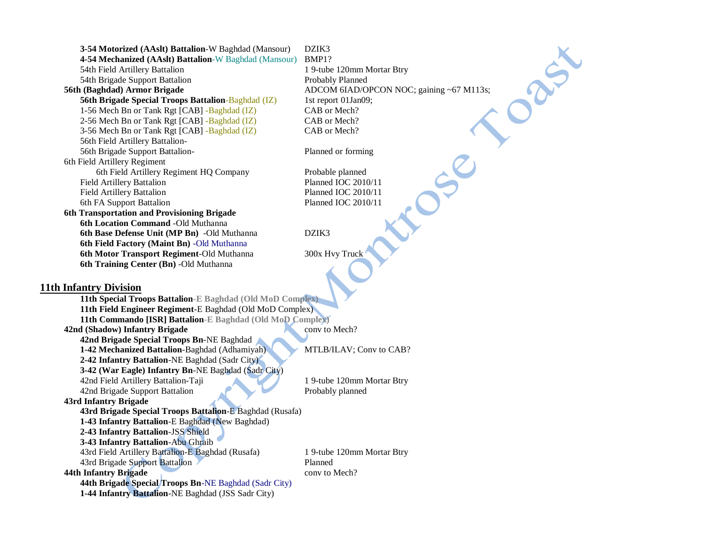**3-54 Motorized (AAslt) Battalion**-W Baghdad (Mansour) DZIK3 **4-54 Mechanized (AAslt) Battalion**-W Baghdad (Mansour) BMP1? 54th Field Artillery Battalion 1 9-tube 120mm Mortar Btry 54th Brigade Support Battalion Probably Planned **56th (Baghdad) Armor Brigade** ADCOM 6IAD/OPCON NOC; gaining ~67 M113s; **56th Brigade Special Troops Battalion-Baghdad (IZ)** 1st report 01Jan09; 1-56 Mech Bn or Tank Rgt [CAB] -Baghdad (IZ) CAB or Mech? 2-56 Mech Bn or Tank Rgt [CAB] -Baghdad (IZ) CAB or Mech? 3-56 Mech Bn or Tank Rgt [CAB] -Baghdad (IZ) CAB or Mech? 56th Field Artillery Battalion-56th Brigade Support Battalion- Planned or forming 6th Field Artillery Regiment 6th Field Artillery Regiment HQ Company Probable planned Field Artillery Battalion **Planned IOC 2010/11** Field Artillery Battalion Planned IOC 2010/11 6th FA Support Battalion Planned IOC 2010/11 **6th Transportation and Provisioning Brigade 6th Location Command** -Old Muthanna **6th Base Defense Unit (MP Bn)** -Old Muthanna DZIK3 **6th Field Factory (Maint Bn)** -Old Muthanna **6th Motor Transport Regiment**-Old Muthanna 300x Hvy Truck **6th Training Center (Bn)** -Old Muthanna

## **11th Infantry Division**

**11th Special Troops Battalion-E Baghdad (Old MoD Complex) 11th Field Engineer Regiment**-E Baghdad (Old MoD Complex) **11th Commando [ISR] Battalion-E Baghdad (Old MoD Complex) 42nd (Shadow) Infantry Brigade** conv to Mech? **42nd Brigade Special Troops Bn**-NE Baghdad **1-42 Mechanized Battalion**-Baghdad (Adhamiyah) MTLB/ILAV; Conv to CAB? **2-42 Infantry Battalion**-NE Baghdad (Sadr City) **3-42 (War Eagle) Infantry Bn**-NE Baghdad (Sadr City) 42nd Field Artillery Battalion-Taji 1 9-tube 120mm Mortar Btry 42nd Brigade Support Battalion Probably planned **43rd Infantry Brigade 43rd Brigade Special Troops Battalion**-E Baghdad (Rusafa) **1-43 Infantry Battalion**-E Baghdad (New Baghdad) **2-43 Infantry Battalion**-JSS Shield **3-43 Infantry Battalion**-Abu Ghraib 43rd Field Artillery Battalion-E Baghdad (Rusafa) 1 9-tube 120mm Mortar Btry 43rd Brigade Support Battalion Planned **44th Infantry Brigade** conv to Mech? **44th Brigade Special Troops Bn**-NE Baghdad (Sadr City) **1-44 Infantry Battalion**-NE Baghdad (JSS Sadr City)

RICK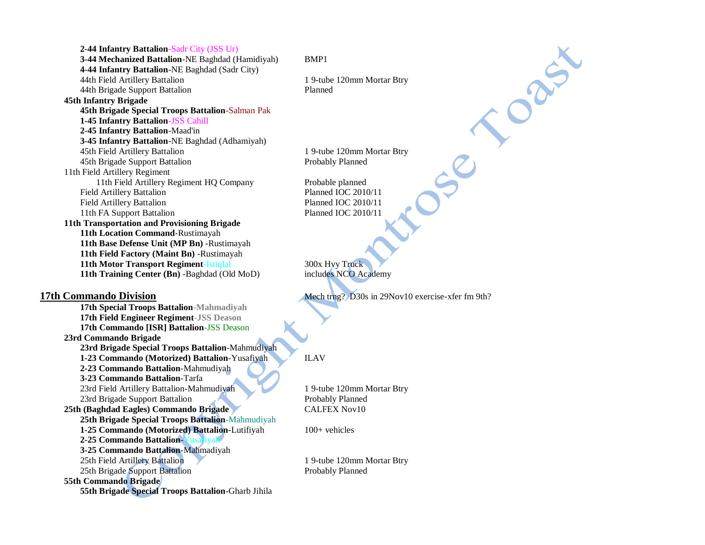**2-44 Infantry Battalion**-Sadr City (JSS Ur) **3-44 Mechanized Battalion**-NE Baghdad (Hamidiyah) BMP1 **4-44 Infantry Battalion**-NE Baghdad (Sadr City) 44th Field Artillery Battalion 1 9-tube 120mm Mortar Btry 44th Brigade Support Battalion Planned **45th Infantry Brigade 45th Brigade Special Troops Battalion**-Salman Pak **1-45 Infantry Battalion**-JSS Cahill **2-45 Infantry Battalion**-Maad'in **3-45 Infantry Battalion**-NE Baghdad (Adhamiyah) 45th Field Artillery Battalion 1 9-tube 120mm Mortar Btry 45th Brigade Support Battalion Probably Planned 11th Field Artillery Regiment 11th Field Artillery Regiment HQ Company Probable planned Field Artillery Battalion Planned IOC 2010/11 Field Artillery Battalion Planned IOC 2010/11 11th FA Support Battalion Planned IOC 2010/11 **11th Transportation and Provisioning Brigade 11th Location Command**-Rustimayah **11th Base Defense Unit (MP Bn)** -Rustimayah **11th Field Factory (Maint Bn)** -Rustimayah **11th Motor Transport Regiment-Istiqlal 300x Hyy Truck<br>
<b>11th Training Center (Bn)** -Baghdad (Old MoD) includes NCO Academy **11th Training Center (Bn)** -Baghdad (Old MoD) **17th Commando Division** Mech trng? D30s in 29Nov10 exercise-xfer fm 9th?

**17th Special Troops Battalion-Mahmadiyah 17th Field Engineer Regiment-JSS Deason 17th Commando [ISR] Battalion**-JSS Deason **23rd Commando Brigade 23rd Brigade Special Troops Battalion**-Mahmudiyah **1-23 Commando (Motorized) Battalion-Yusafiyah ILAV 2-23 Commando Battalion**-Mahmudiyah **3-23 Commando Battalion**-Tarfa 23rd Field Artillery Battalion-Mahmudiyah 1 9-tube 120mm Mortar Btry 23rd Brigade Support Battalion Probably Planned **25th (Baghdad Eagles) Commando Brigade** CALFEX Nov10 **25th Brigade Special Troops Battalion**-Mahmudiyah **1-25 Commando (Motorized) Battalion**-Lutifiyah 100+ vehicles **2-25 Commando Battalion-Yusafi 3-25 Commando Battalion**-Mahmadiyah 25th Field Artillery Battalion 1 9-tube 120mm Mortar Btry 25th Brigade Support Battalion Probably Planned **55th Commando Brigade 55th Brigade Special Troops Battalion**-Gharb Jihila

Canal